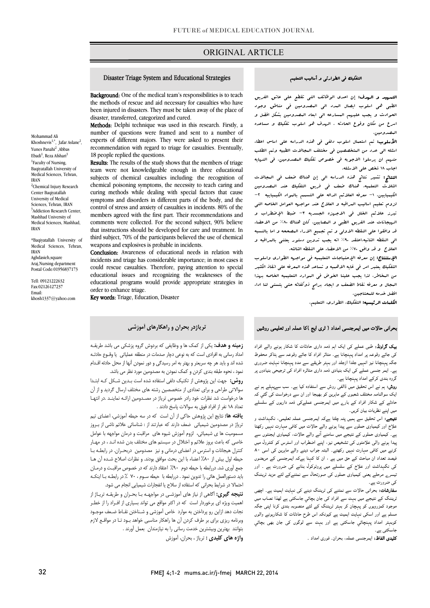## ORIGINAL ARTICLE

#### Disaster Triage System and Educational Strategies

Ī

Background: One of the medical team's responsibilities is to teach been injured in disasters. They must be taken away of the place of disaster, transferred, categorized and cured. the methods of rescue and aid necessary for casualties who have

number of questions were framed and sent to a number of experts of different majors. They were asked to present their recommendation with regard to triage for casualties. Eventually, Methods: Delphi technique was used in this research. Firstly, a 18 people replied the questions.

**Results:** The results of the study shows that the members of triage team were not knowledgeable enough in three educational subjects of chemical casualites including. The recognition of chemical poisoning symptoms, the necessity to teach caring and curing methods while dealing with special factors that cause symptoms and disorders in different parts of the body, and the members agreed with the first part. Their recommendations and comments were collected. For the second subject, 90% believe that instructions should be developed for care and treatment. In weapons and explosives is probable in incidents. subjects of chemical casualties including: the recognition of control of stress and anxiety of casualties in incidents. 80% of the third subject, 70% of the participants believed the use of chemical

 Conclusion: Awareness of educational needs in relation with could rescue casualties. Therefore, paying attention to special educational issues and recognizing the weaknesses of the educational programs would provide appropriate strategies in incidents and triage has considerable importance; in most cases it order to enhance triage.

Key words: Triage, Education, Disaster

### التفکیک فی الطوارئی و أسالیب التعلیم

I

 التمهید و الهدف: إن احدي الوظائف التی تقطع علی عاتق الفریق الطبی هی اسلوب ایصال المدد الی المصدومین فی مناطق وجود l اسرع من مکان وقوع الحادثه . الهدف هو اسلوب تفکیک و مساعده الحوادث و یجب علیهم المسارعه الی ابعاد المصدومین بشکل افضل و المصدومین.

 الأسلوب: تم استعمال اسلوب دلفی فی هذه الدراسه علی اساس اعطاء اسئله الی عدد من المتخصصین فی مختلف المجالات الطبیه وتم الطلب منهم ان یرسلوا الاجوبه فی خصوص تفکیک المصدومین. فی النهایه اجاب 18 شخص علی الاسئله.

ا**لنتائج:** تشیر نتائج هذه الدراسه الی إن هناك ضعف فی البجالات<br>. الکیمیایین. -1 معرفه العلائم الداله علی التسمم بالمواد الکیمیاییه -2 لزوم تعلیم اسالیب المراقبه و العلاج عند مواجهه العوامل الخاصه التی تبرز علائم الخلل فی الاجهزه الجسدیه -3 ضبط الإضطراب و الهیجانات عند الفریق الطبی و المصابین. کان هناك %80 من الاعضاء قد وافقوا علی النقطه الاولی و تم تجمیع الاراء المصححه و اما بالنسبه الی النقطه الثانیه،اعتقد %90 انه یجب تدوین دستور یعتنی بالمراقبه و الثلاث التعلمیه، هناك ضعف فی فریق التفکیک عند المصدومین العلاج و قد وافق %70 من الاعضاء علی النقطه الثالثه.

 الإستنتاج: إن معرفه الإحتیاجات التعلیمیه فی مواجهه الطواري واسلوب التفکیک یعتبر امر فی غایه الاهمیه و تساعد هذه المعرفه علی انقاذ الکثیر من المخاطر، لذا یجب علینا الخوض فی الموارد التعلیمیه الخاصه بهذا المجال و معرفه نقاط الضعف و ایجاد برامج ذوکفائه حتی یتسنی لنا اداء افضل خدمه للمحتاجین.

ا**لکلمات الرئیسیه:** التفکیك، الطواری، التعلیم.<br>.

### حرانی حالات میں ایمرجنسی امداد ( ٹری ایج )کا عملہ اور تعلیمی روشیں

**ییک گراونڈ:** طبی عملے کی ایک اہم ذمہ داری حادثات کا شکار ہونے والے افراد سی جانے ویوسع پر اسداد پہنچان ہے۔ سائز انواز کا جانے ویوسع سے ہنا تو ساتقوت<br>جگہ پہنچانا نیز انہیں جلدا ازجلد اور بہتر طریقے سے مدد پہنچانا نہایت ضروری ۔<br>ے۔ ایمر جنسی عملے کی ایک بنیادی ذمہ داری متاثرہ افراد کی ترجیحٰی بنیادوں پر گروہ بندی کرکے امداد پہنچانا ہے۔ کی جائے وقوعہ پر امداد پہنچانا ہے۔ متاثر افراد کا جائے وقوعہ سے ہٹاکر محفوظ

روش: ہم نے اس تحقیق میں ڈالفی روش سے استفادہ کیا ہے۔ سب سےپہلے ہم نے<br>۔ د ر ااد رے ا ذ دارں ہیں اپنے نظریات بیان کریں۔ ایک سوالنامہ مختلف شعبوں کے ماہرین کو بھیجا اور ان سے درخواست کی گئي کہ

**تیبجے:** اس تحقیق سے ہمیں پتہ چلتا ہےکہ ایمرجنسی عملہ تعلیمی، نگہداشت و<br>. ۔ وی رز میں معاون کے سے کوئی کو اس کے معاملے کی ہم رہے ہیں رہ ۔<br>ہے۔ کیمیاوی حملوں کے نتیجے میں سامنے آنے والے حالات، کیمیاوی ایجنٹوں سے پیدا ہونے والی علامتوں کی تشخیص نیز، اپنے اضطراب اور اسٹرس کو کنٹرول میں کرنے میں کافی مہارت نہیں رکھتے۔ البتہ جواب دینے والے ماہرین کی اسی ۸۰ بیستہ متعدد ان سباحت سے علی سیں ہے . ان ف کہہ ہےجر بیسر بستی سے سریستوں<br>کی نگہداشت اور علاج کے سلسلے میں پروٹوکول بنانے کی ضرورت ہے . اور .<br>نیسر<sub>ے</sub> مرحلے یعنی کیمیاوی حملوں کی صورتحال سے نمٹنےکے لئے مزید ٹریننگ علاج اور کیمیاوی حملوں سے پیدا ہونے والے حالات میں کافی مہارت نہیں رکھتا فیصد تعداد ان مباحث کے حق میں ہے ، ان کا کہنا ہےکہ ایمرجنسی کے مریضوں کی ضرورت ہے۔

**سفارشات:** بحرانی حالات سے نمٹنے کی ٹریننگ دینے کی نہایت اہمیت ہے۔ اچھی<br>منابع ۔<br>موجود کمزرویوں کو پہچان کر بہتر ٹریننگ کے لئے منصوبہ بندی کرنا اپنی جگہ مسلم ہے اور اسکی نہایت اہمیت ہے کیونکہ اس طرح حادثات کا شکارہونے والوں کوبہتر امداد پہنچائي جاسکتی ہے اور بہت سے لوگوں کی جان بھی بچائي ٹریننگ کے نتیجے میں بہت سے افراد کی جان بچائي جاسکتی ہے لهذا نصاب میں جاسکتی ہے۔

.<br>**کلیدی الفاظ:** ایمرجنسی عملہ، بحران<sub>-</sub> فوری امداد <sub>-</sub>

تریاژدر بحران و راهکارهاي آموزشی

**زمینه و هدف:** یکی از کمک ها و وظایفی که بردوش گروه پزشکی می باشد طریقـه سده رسایی به امرادی است که به توصی تپار حسمات در سفیقه حسیاتی ایا وصوح حادثه<br>شده اند و باید هر چه سریعتر و بهتر به امر رسیدگی و دور نمودن آنها از محل حادثه اقـدام نمود ، نحوه طبقه بندي کردن و کمک نمودن به مصدومین مورد نظر می باشد. امداد رسانی به افرادي است که به نوعی دچار صدمات در منطقه عملیاتی یا وقـوع حادثـه

 روش: جهت این پژوهش از تکنیک دلفی استفاده شده است بـدین شـکل کـه ابتـدا سوالاتی طراحی و براي تعدادي از متخصصین رشته هاي مختلف ارسال گردید و از آن ها درخواست شد نظرات خود رادر خصوص تریاژ در مصـدومین ارائـه نماینـد .در انتهـا تعداد 18 نفر از افراد فوق به سوالات پاسخ دادند .

 تریاژ در مصدومین شیمیائی ضعف دارند که عبارتند از : شناسائی علائم ناشی از بـروز مسمومیت ها ي شیمیائی، لزوم آموزش شیوه هاي مراقبت و درمان مواجهه با عوامل خاصی که باعث بروز علائم و اختلال در سیستم هاي مختلف بدن شده انـد ، در مهـار کنترل هیجانات و استرس در اعضاي درمانی و نیز مصدومین دربحـران . در رابطـه بـا حیطه اول بیش از %80 اعضاء با این بحث موافق بودند. و نظرات اصلاح شـده آن هـا باید دستورالعمل هائی را تدوین نمود . دررابطه با حیطه سـوم ، 70 % در رابطـه بـا اینکـه احتمالا در شرایط بحرانی که استفاده از سلاح یا انفجارات شیمیایی انجام می شود. یافته ها: نتایج این پِژوهش حاکی از آن است که در سه حیطه آموزشی، اعضاي تیم جمع آوري شد. دررابطه با حیطه دوم %90 اعتقاد دارند که در خصوص مراقبـت و درمـان

 نتیجه گیري: آگاهی از نیاز هاي آموزشـی در مواجهـه بـا بحـران و طریقـه تریـاژ از اهمیت ویژه اي برخوردار است که در اکثر مواقع می تواند بسیاري از افـراد را از خطـر نجات دهد ازاین رو پرداختن به موارد خاص آموزشی و شـناختن نقـاط ضـعف موجـ ود بردند ریزی برای بر حرب حربی آن به راسور استانی خواهد بلود .<br>بتوانند بهترین وبیشترین خدمت رسانی را به نیازمندان بعمل آورند . وبرنامه ریزي براي بر طرف کردن آن ها راهکار مناسبی خواهد بـود تـا در مواقـع لازم

واژه هاي کلیدي : تریاژ ، بحران، آموزش

Mohammad Ali Khoshnevis<sup>1,\*</sup>, Jafar Aslane<sup>2</sup>,<br>Yunes Panahi<sup>2</sup> ,Abbas Ebadi $^1$ , Reza Afshari $^3$ <sup>1</sup>Faculty of Nursing, Baqiyatallah University of Medical Sciences, Tehran, IRAN <sup>2</sup>Chemical Injury Research Center Baqiyatallah University of Medical Sciences, Tehran, IRAN <sup>3</sup>Addiction Research Center, Mashhad University of Medical Sciences, Mashhad, IRAN

\*Baqiyatallah University of Medical Sciences, Tehran, IRAN Aghdasieh,square

Araj,Nursing department Postal Code:01956837173

Tell: 09121222632 Fax:02126127237 Email: khosh1337@yahoo.com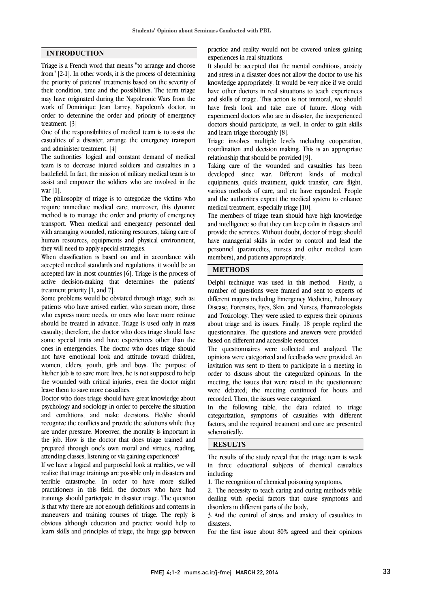## INTRODUCTION

Triage is a French word that means "to arrange and choose from" [2-1]. In other words, it is the process of determining the priority of patients' treatments based on the severity of their condition, time and the possibilities. The term triage may have originated during the Napoleonic Wars from the work of Dominique Jean Larrey, Napoleon's doctor, in order to determine the order and priority of emergency treatment. [3]

One of the responsibilities of medical team is to assist the casualties of a disaster, arrange the emergency transport and administer treatment. [4]

The authorities' logical and constant demand of medical team is to decrease injured soldiers and casualties in a battlefield. In fact, the mission of military medical team is to assist and empower the soldiers who are involved in the war  $[1]$ .

The philosophy of triage is to categorize the victims who require immediate medical care; moreover, this dynamic method is to manage the order and priority of emergency transport. When medical and emergency personnel deal with arranging wounded, rationing resources, taking care of human resources, equipments and physical environment, they will need to apply special strategies.

When classification is based on and in accordance with accepted medical standards and regulations, it would be an accepted law in most countries [6]. Triage is the process of active decision-making that determines the patients' treatment priority [1, and 7].

Some problems would be obviated through triage, such as: patients who have arrived earlier, who scream more, those who express more needs, or ones who have more retinue should be treated in advance. Triage is used only in mass casualty; therefore, the doctor who does triage should have some special traits and have experiences other than the ones in emergencies. The doctor who does triage should not have emotional look and attitude toward children, women, elders, youth, girls and boys. The purpose of his/her job is to save more lives, he is not supposed to help the wounded with critical injuries, even the doctor might leave them to save more casualties.

Doctor who does triage should have great knowledge about psychology and sociology in order to perceive the situation and conditions, and make decisions. He/she should recognize the conflicts and provide the solutions while they are under pressure. Moreover, the morality is important in the job. How is the doctor that does triage trained and prepared through one's own moral and virtues, reading, attending classes, listening or via gaining experiences?

If we have a logical and purposeful look at realities, we will realize that triage trainings are possible only in disasters and terrible catastrophe. In order to have more skilled practitioners in this field, the doctors who have had trainings should participate in disaster triage. The question is that why there are not enough definitions and contents in maneuvers and training courses of triage. The reply is obvious although education and practice would help to learn skills and principles of triage, the huge gap between  practice and reality would not be covered unless gaining experiences in real situations.

 It should be accepted that the mental conditions, anxiety and stress in a disaster does not allow the doctor to use his have other doctors in real situations to teach experiences and skills of triage. This action is not immoral, we should have fresh look and take care of future. Along with experienced doctors who are in disaster, the inexperienced and learn triage thoroughly [8]. knowledge appropriately. It would be very nice if we could doctors should participate, as well, in order to gain skills

 Triage involves multiple levels including cooperation, coordination and decision making. This is an appropriate relationship that should be provided [9].

 developed since war. Different kinds of medical equipments, quick treatment, quick transfer, care flight, various methods of care, and etc have expanded. People and the authorities expect the medical system to enhance Taking care of the wounded and casualties has been medical treatment, especially triage [10].

 The members of triage team should have high knowledge and intelligence so that they can keep calm in disasters and provide the services. Without doubt, doctor of triage should have managerial skills in order to control and lead the members), and patients appropriately. personnel (paramedics, nurses and other medical team

## j **METHODS**

 Delphi technique was used in this method. Firstly, a different majors including Emergency Medicine, Pulmonary Disease, Forensics, Eyes, Skin, and Nurses, Pharmacologists and Toxicology. They were asked to express their opinions about triage and its issues. Finally, 18 people replied the based on different and accessible resources. number of questions were framed and sent to experts of questionnaires. The questions and answers were provided

 The questionnaires were collected and analyzed. The opinions were categorized and feedbacks were provided. An invitation was sent to them to participate in a meeting in meeting, the issues that were raised in the questionnaire were debated; the meeting continued for hours and recorded. Then, the issues were categorized. order to discuss about the categorized opinions. In the

 In the following table, the data related to triage factors, and the required treatment and cure are presented schematically. categorization, symptoms of casualties with different

# **RESULTS**

 The results of the study reveal that the triage team is weak in three educational subjects of chemical casualties including:

1. The recognition of chemical poisoning symptoms,

 2. The necessity to teach caring and curing methods while disorders in different parts of the body, dealing with special factors that cause symptoms and

 3. And the control of stress and anxiety of casualties in disasters.

For the first issue about 80% agreed and their opinions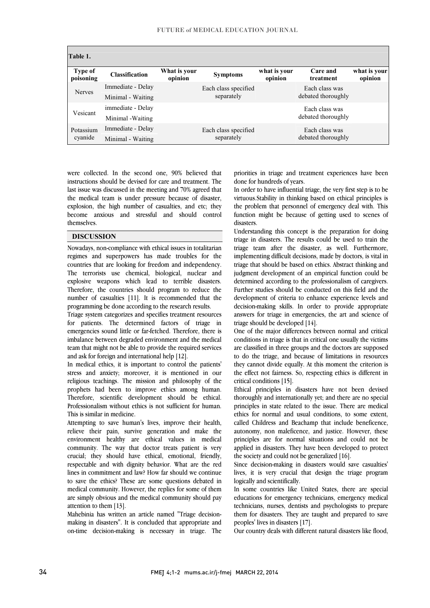| Table 1.             |                       |                         |                                    |                         |                                      |                         |
|----------------------|-----------------------|-------------------------|------------------------------------|-------------------------|--------------------------------------|-------------------------|
| Type of<br>poisoning | <b>Classification</b> | What is your<br>opinion | <b>Symptoms</b>                    | what is your<br>opinion | Care and<br>treatment                | what is your<br>opinion |
| <b>Nerves</b>        | Immediate - Delay     |                         | Each class specified<br>separately |                         | Each class was                       |                         |
|                      | Minimal - Waiting     |                         |                                    |                         | debated thoroughly                   |                         |
| Vesicant             | immediate - Delay     |                         |                                    |                         | Each class was                       |                         |
|                      | Minimal - Waiting     |                         |                                    |                         | debated thoroughly                   |                         |
| Potassium<br>cyanide | Immediate - Delay     |                         | Each class specified<br>separately |                         | Each class was<br>debated thoroughly |                         |
|                      | Minimal - Waiting     |                         |                                    |                         |                                      |                         |

 were collected. In the second one, 90% believed that instructions should be devised for care and treatment. The last issue was discussed in the meeting and 70% agreed that the medical team is under pressure because of disaster, become anxious and stressful and should control explosion, the high number of casualties, and etc; they themselves.

ֺׅ֞֝֬֝֬

#### DISCUSSION

 Nowadays, non-compliance with ethical issues in totalitarian regimes and superpowers has made troubles for the countries that are looking for freedom and independency. The terrorists use chemical, biological, nuclear and Therefore, the countries should program to reduce the number of casualties [11]. It is recommended that the programming be done according to the research results. explosive weapons which lead to terrible disasters.

 Triage system categorizes and specifies treatment resources emergencies sound little or far-fetched. Therefore, there is imbalance between degraded environment and the medical team that might not be able to provide the required services for patients. The determined factors of triage in and ask for foreign and international help [12].

 stress and anxiety; moreover, it is mentioned in our religious teachings. The mission and philosophy of the prophets had been to improve ethics among human. Therefore, scientific development should be ethical. Professionalism without ethics is not sufficient for human.<br>This is similar in madiator In medical ethics, it is important to control the patients' This is similar in medicine.

 Attempting to save human's lives, improve their health, relieve their pain, survive generation and make the environment healthy are ethical values in medical crucial; they should have ethical, emotional, friendly, respectable and with dignity behavior. What are the red lines in commitment and law? How far should we continue to save the ethics? These are some questions debated in are simply obvious and the medical community should pay community. The way that doctor treats patient is very medical community. However, the replies for some of them attention to them [13].

 Mahebinia has written an article named "Triage decision- making in disasters". It is concluded that appropriate and on-time decision-making is necessary in triage. The

 priorities in triage and treatment experiences have been done for hundreds of years.

 In order to have influential triage, the very first step is to be virtuous.Stability in thinking based on ethical principles is function might be because of getting used to scenes of the problem that personnel of emergency deal with. This disasters.

 Understanding this concept is the preparation for doing triage team after the disaster, as well. Furthermore, implementing difficult decisions, made by doctors, is vital in triage that should be based on ethics. Abstract thinking and judgment development of an empirical function could be Further studies should be conducted on this field and the development of criteria to enhance experience levels and decision-making skills. In order to provide appropriate answers for triage in emergencies, the art and science of triage in disasters. The results could be used to train the determined according to the professionalism of caregivers. triage should be developed [14].

 One of the major differences between normal and critical conditions in triage is that in critical one usually the victims are classified in three groups and the doctors are supposed to do the triage, and because of limitations in resources the effect not fairness. So, respecting ethics is different in they cannot divide equally. At this moment the criterion is critical conditions [15].

 Ethical principles in disasters have not been devised thoroughly and internationally yet; and there are no special ethics for normal and usual conditions, to some extent, called Childress and Beachamp that include beneficence, autonomy, non maleficence, and justice. However, these principles are for normal situations and could not be applied in disasters. They have been developed to protect<br>the society and sould not be considered  $11(1)$ principles in state related to the issue. There are medical the society and could not be generalized [16].

 Since decision-making in disasters would save casualties' lives, it is very crucial that design the triage program logically and scientifically.

 educations for emergency technicians, emergency medical technicians, nurses, dentists and psychologists to prepare them for disasters. They are taught and prepared to save In some countries like United States, there are special peoples' lives in disasters [17].

Our country deals with different natural disasters like flood,